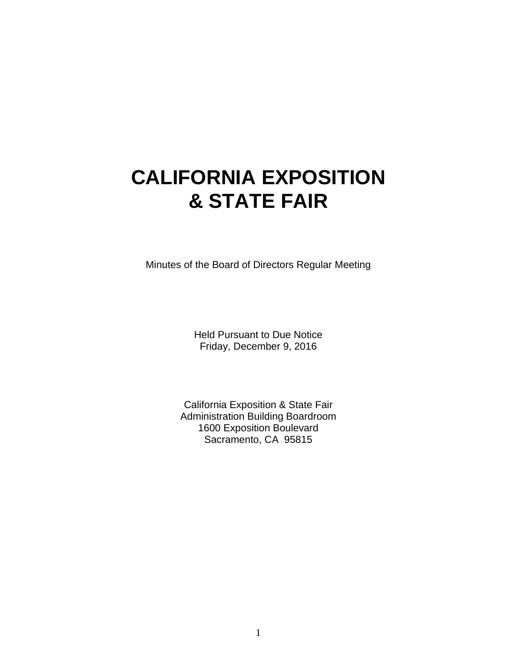# **CALIFORNIA EXPOSITION & STATE FAIR**

Minutes of the Board of Directors Regular Meeting

Held Pursuant to Due Notice Friday, December 9, 2016

California Exposition & State Fair Administration Building Boardroom 1600 Exposition Boulevard Sacramento, CA 95815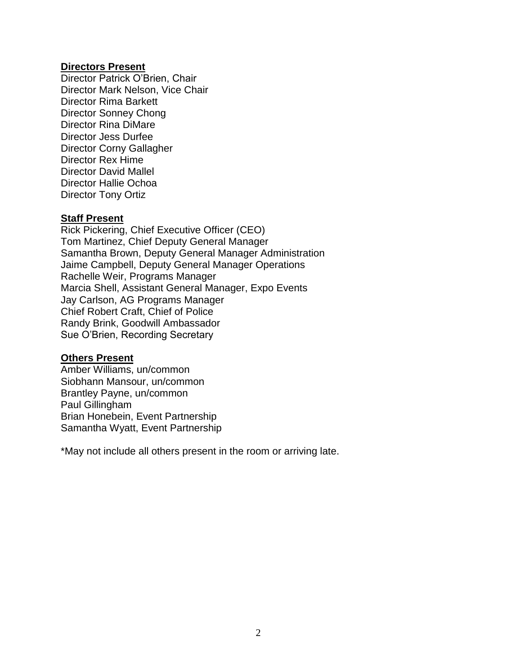#### **Directors Present**

Director Patrick O'Brien, Chair Director Mark Nelson, Vice Chair Director Rima Barkett Director Sonney Chong Director Rina DiMare Director Jess Durfee Director Corny Gallagher Director Rex Hime Director David Mallel Director Hallie Ochoa Director Tony Ortiz

# **Staff Present**

Rick Pickering, Chief Executive Officer (CEO) Tom Martinez, Chief Deputy General Manager Samantha Brown, Deputy General Manager Administration Jaime Campbell, Deputy General Manager Operations Rachelle Weir, Programs Manager Marcia Shell, Assistant General Manager, Expo Events Jay Carlson, AG Programs Manager Chief Robert Craft, Chief of Police Randy Brink, Goodwill Ambassador Sue O'Brien, Recording Secretary

#### **Others Present**

Amber Williams, un/common Siobhann Mansour, un/common Brantley Payne, un/common Paul Gillingham Brian Honebein, Event Partnership Samantha Wyatt, Event Partnership

\*May not include all others present in the room or arriving late.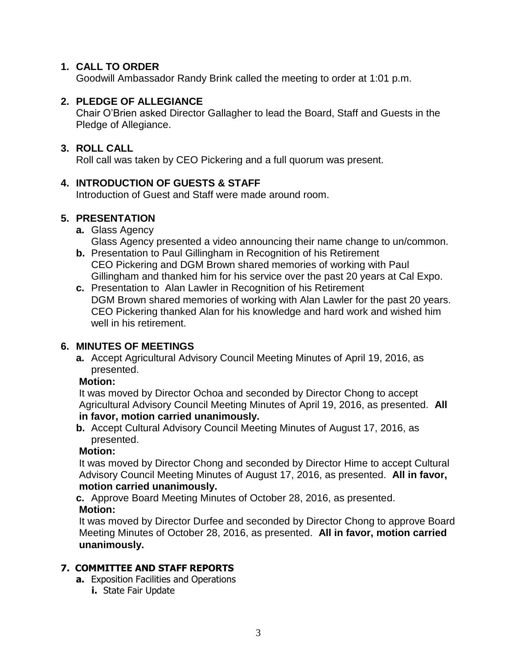# **1. CALL TO ORDER**

Goodwill Ambassador Randy Brink called the meeting to order at 1:01 p.m.

# **2. PLEDGE OF ALLEGIANCE**

Chair O'Brien asked Director Gallagher to lead the Board, Staff and Guests in the Pledge of Allegiance.

# **3. ROLL CALL**

Roll call was taken by CEO Pickering and a full quorum was present.

# **4. INTRODUCTION OF GUESTS & STAFF**

Introduction of Guest and Staff were made around room.

# **5. PRESENTATION**

- **a.** Glass Agency Glass Agency presented a video announcing their name change to un/common.
- **b.** Presentation to Paul Gillingham in Recognition of his Retirement CEO Pickering and DGM Brown shared memories of working with Paul Gillingham and thanked him for his service over the past 20 years at Cal Expo.
- **c.** Presentation to Alan Lawler in Recognition of his Retirement DGM Brown shared memories of working with Alan Lawler for the past 20 years. CEO Pickering thanked Alan for his knowledge and hard work and wished him well in his retirement.

# **6. MINUTES OF MEETINGS**

**a.** Accept Agricultural Advisory Council Meeting Minutes of April 19, 2016, as presented.

### **Motion:**

It was moved by Director Ochoa and seconded by Director Chong to accept Agricultural Advisory Council Meeting Minutes of April 19, 2016, as presented. **All in favor, motion carried unanimously.**

**b.** Accept Cultural Advisory Council Meeting Minutes of August 17, 2016, as presented.

# **Motion:**

It was moved by Director Chong and seconded by Director Hime to accept Cultural Advisory Council Meeting Minutes of August 17, 2016, as presented. **All in favor, motion carried unanimously.**

**c.** Approve Board Meeting Minutes of October 28, 2016, as presented. **Motion:**

It was moved by Director Durfee and seconded by Director Chong to approve Board Meeting Minutes of October 28, 2016, as presented. **All in favor, motion carried unanimously.**

# **7. COMMITTEE AND STAFF REPORTS**

- **a.** Exposition Facilities and Operations
	- **i.** State Fair Update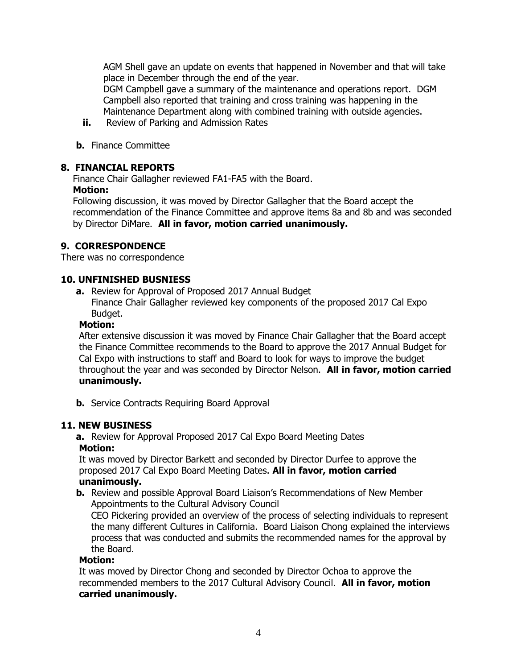AGM Shell gave an update on events that happened in November and that will take place in December through the end of the year.

DGM Campbell gave a summary of the maintenance and operations report. DGM Campbell also reported that training and cross training was happening in the Maintenance Department along with combined training with outside agencies.

- **ii.** Review of Parking and Admission Rates
- **b.** Finance Committee

#### **8. FINANCIAL REPORTS**

Finance Chair Gallagher reviewed FA1-FA5 with the Board. **Motion:**

Following discussion, it was moved by Director Gallagher that the Board accept the recommendation of the Finance Committee and approve items 8a and 8b and was seconded by Director DiMare. **All in favor, motion carried unanimously.**

### **9. CORRESPONDENCE**

There was no correspondence

#### **10. UNFINISHED BUSNIESS**

**a.** Review for Approval of Proposed 2017 Annual Budget Finance Chair Gallagher reviewed key components of the proposed 2017 Cal Expo Budget.

#### **Motion:**

After extensive discussion it was moved by Finance Chair Gallagher that the Board accept the Finance Committee recommends to the Board to approve the 2017 Annual Budget for Cal Expo with instructions to staff and Board to look for ways to improve the budget throughout the year and was seconded by Director Nelson. **All in favor, motion carried unanimously.**

**b.** Service Contracts Requiring Board Approval

### **11. NEW BUSINESS**

**a.** Review for Approval Proposed 2017 Cal Expo Board Meeting Dates

#### **Motion:**

It was moved by Director Barkett and seconded by Director Durfee to approve the proposed 2017 Cal Expo Board Meeting Dates. **All in favor, motion carried unanimously.**

**b.** Review and possible Approval Board Liaison's Recommendations of New Member Appointments to the Cultural Advisory Council

CEO Pickering provided an overview of the process of selecting individuals to represent the many different Cultures in California. Board Liaison Chong explained the interviews process that was conducted and submits the recommended names for the approval by the Board.

#### **Motion:**

It was moved by Director Chong and seconded by Director Ochoa to approve the recommended members to the 2017 Cultural Advisory Council. **All in favor, motion carried unanimously.**